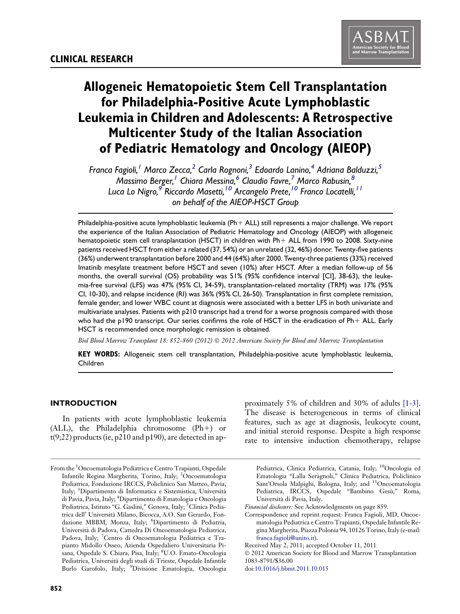# Allogeneic Hematopoietic Stem Cell Transplantation for Philadelphia-Positive Acute Lymphoblastic Leukemia in Children and Adolescents: A Retrospective Multicenter Study of the Italian Association of Pediatric Hematology and Oncology (AIEOP)

Franca Fagioli,<sup>1</sup> Marco Zecca,<sup>2</sup> Carla Rognoni,<sup>3</sup> Edoardo Lanino,<sup>4</sup> Adriana Balduzzi,<sup>5</sup> Massimo Berger,<sup>1</sup> Chiara Messina,<sup>6</sup> Claudio Favre,<sup>7</sup> Marco Rabusin,<sup>8</sup> Luca Lo Nigro,<sup>9</sup> Riccardo Masetti,<sup>10</sup> Arcangelo Prete,<sup>10</sup> Franco Locatelli,<sup>11</sup> on behalf of the AIEOP-HSCT Group

Philadelphia-positive acute lymphoblastic leukemia  $(Ph + ALL)$  still represents a major challenge. We report the experience of the Italian Association of Pediatric Hematology and Oncology (AIEOP) with allogeneic hematopoietic stem cell transplantation (HSCT) in children with Ph+ ALL from 1990 to 2008. Sixty-nine patients received HSCT from either a related (37, 54%) or an unrelated (32, 46%) donor. Twenty-five patients (36%) underwent transplantation before 2000 and 44 (64%) after 2000. Twenty-three patients (33%) received Imatinib mesylate treatment before HSCT and seven (10%) after HSCT. After a median follow-up of 56 months, the overall survival (OS) probability was 51% (95% confidence interval [CI], 38-63), the leukemia-free survival (LFS) was 47% (95% CI, 34-59), transplantation-related mortality (TRM) was 17% (95% CI, 10-30), and relapse incidence (RI) was 36% (95% CI, 26-50). Transplantation in first complete remission, female gender, and lower WBC count at diagnosis were associated with a better LFS in both univariate and multivariate analyses. Patients with p210 transcript had a trend for a worse prognosis compared with those who had the p190 transcript. Our series confirms the role of HSCT in the eradication of  $Ph+ALL$ . Early HSCT is recommended once morphologic remission is obtained.

Biol Blood Marrow Transplant 18: 852-860 (2012)  $\odot$  2012 American Society for Blood and Marrow Transplantation

KEY WORDS: Allogeneic stem cell transplantation, Philadelphia-positive acute lymphoblastic leukemia, Children

# INTRODUCTION

In patients with acute lymphoblastic leukemia  $(ALL)$ , the Philadelphia chromosome  $(Ph+)$  or t(9;22) products (ie, p210 and p190), are detected in ap-

proximately 5% of children and 30% of adults [\[1-3\].](#page-7-0) The disease is heterogeneous in terms of clinical features, such as age at diagnosis, leukocyte count, and initial steroid response. Despite a high response rate to intensive induction chemotherapy, relapse

Pediatrica, Clinica Pediatrica, Catania, Italy; 10Oncologia ed Ematologia ''Lalla Seragnoli,'' Clinica Pediatrica, Policlinico Sant'Orsola Malpighi, Bologna, Italy; and <sup>11</sup>Oncoematologia Pediatrica, IRCCS, Ospedale "Bambino Gesù," Roma, Universita di Pavia, Italy.

doi:[10.1016/j.bbmt.2011.10.015](http://dx.doi.org/10.1016/j.bbmt.2011.10.015)

From the <sup>1</sup>Oncoematologia Pediatrica e Centro Trapianti, Ospedale Infantile Regina Margherita, Torino, Italy; <sup>2</sup>Oncoematologia Pediatrica, Fondazione IRCCS, Policlinico San Matteo, Pavia, Italy; <sup>3</sup>Dipartimento di Informatica e Sistemistica, Università di Pavia, Pavia, Italy; <sup>4</sup> Dipartimento di Ematologia e Oncologia Pediatrica, Istituto "G. Gaslini," Genova, Italy; <sup>5</sup>Clinica Pediatrica dell' Universita Milano, Bicocca, A.O. San Gerardo, Fondazione MBBM, Monza, Italy; <sup>6</sup>Dipartimento di Pediatria, Universita di Padova, Cattedra Di Oncoematologia Pediatrica, Padova, Italy; <sup>7</sup>Centro di Oncoematologia Pediatrica e Trapianto Midollo Osseo, Azienda Ospedaliero Universitaria Pisana, Ospedale S. Chiara, Pisa, Italy; <sup>8</sup>U.O. Emato-Oncologia Pediatrica, Universita degli studi di Trieste, Ospedale Infantile Burlo Garofolo, Italy; <sup>9</sup>Divisione Ematologia, Oncologia

Financial disclosure: See Acknowledgments on page 859.

Correspondence and reprint request: Franca Fagioli, MD, Oncoematologia Pediatrica e Centro Trapianti, Ospedale Infantile Regina Margherita, Piazza Polonia 94, 10126 Torino, Italy (e-mail: [franca.fagioli@unito.it](mailto:franca.fagioli@unito.it)).

Received May 2, 2011; accepted October 11, 2011

2012 American Society for Blood and Marrow Transplantation 1083-8791/\$36.00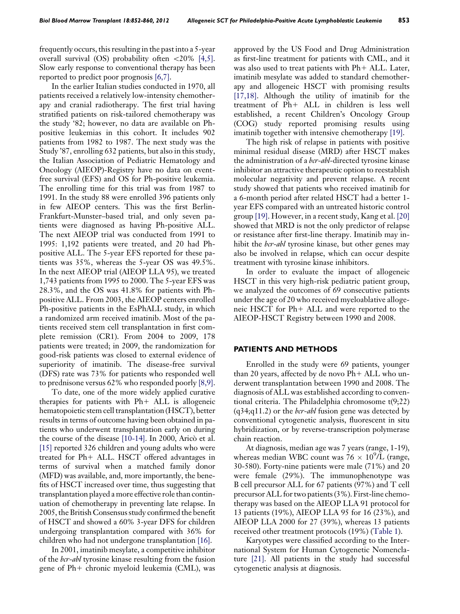frequently occurs, this resulting in the past into a 5-year overall survival (OS) probability often  $\langle 20\% \; [4,5]$  $\langle 20\% \; [4,5]$ . Slow early response to conventional therapy has been reported to predict poor prognosis [\[6,7\].](#page-7-0)

In the earlier Italian studies conducted in 1970, all patients received a relatively low-intensity chemotherapy and cranial radiotherapy. The first trial having stratified patients on risk-tailored chemotherapy was the study '82; however, no data are available on Phpositive leukemias in this cohort. It includes 902 patients from 1982 to 1987. The next study was the Study '87, enrolling 632 patients, but also in this study, the Italian Association of Pediatric Hematology and Oncology (AIEOP)-Registry have no data on eventfree survival (EFS) and OS for Ph-positive leukemia. The enrolling time for this trial was from 1987 to 1991. In the study 88 were enrolled 396 patients only in few AIEOP centers. This was the first Berlin-Frankfurt-Munster–based trial, and only seven patients were diagnosed as having Ph-positive ALL. The next AIEOP trial was conducted from 1991 to 1995: 1,192 patients were treated, and 20 had Phpositive ALL. The 5-year EFS reported for these patients was 35%, whereas the 5-year OS was 49.5%. In the next AIEOP trial (AIEOP LLA 95), we treated 1,743 patients from 1995 to 2000. The 5-year EFS was 28.3%, and the OS was 41.8% for patients with Phpositive ALL. From 2003, the AIEOP centers enrolled Ph-positive patients in the EsPhALL study, in which a randomized arm received imatinib. Most of the patients received stem cell transplantation in first complete remission (CR1). From 2004 to 2009, 178 patients were treated; in 2009, the randomization for good-risk patients was closed to external evidence of superiority of imatinib. The disease-free survival (DFS) rate was 73% for patients who responded well to prednisone versus 62% who responded poorly [\[8,9\]](#page-7-0).

To date, one of the more widely applied curative therapies for patients with  $Ph+ALL$  is allogeneic hematopoietic stem cell transplantation (HSCT), better results in terms of outcome having been obtained in patients who underwent transplantation early on during the course of the disease [\[10-14\]](#page-7-0). In 2000, Arico et al. [\[15\]](#page-8-0) reported 326 children and young adults who were treated for  $Ph+ALL$ . HSCT offered advantages in terms of survival when a matched family donor (MFD) was available, and, more importantly, the benefits of HSCT increased over time, thus suggesting that transplantation played a more effective role than continuation of chemotherapy in preventing late relapse. In 2005, the British Consensus study confirmed the benefit of HSCT and showed a 60% 3-year DFS for children undergoing transplantation compared with 36% for children who had not undergone transplantation [\[16\]](#page-8-0).

In 2001, imatinib mesylate, a competitive inhibitor of the bcr-abl tyrosine kinase resulting from the fusion gene of  $Ph+$  chronic myeloid leukemia (CML), was

approved by the US Food and Drug Administration as first-line treatment for patients with CML, and it was also used to treat patients with  $Ph+ALL$ . Later, imatinib mesylate was added to standard chemotherapy and allogeneic HSCT with promising results [\[17,18\]](#page-8-0). Although the utility of imatinib for the treatment of  $Ph+ALL$  in children is less well established, a recent Children's Oncology Group (COG) study reported promising results using imatinib together with intensive chemotherapy [\[19\]](#page-8-0).

The high risk of relapse in patients with positive minimal residual disease (MRD) after HSCT makes the administration of a *bcr-abl*-directed tyrosine kinase inhibitor an attractive therapeutic option to reestablish molecular negativity and prevent relapse. A recent study showed that patients who received imatinib for a 6-month period after related HSCT had a better 1 year EFS compared with an untreated historic control group [\[19\].](#page-8-0) However, in a recent study, Kang et al. [\[20\]](#page-8-0) showed that MRD is not the only predictor of relapse or resistance after first-line therapy. Imatinib may inhibit the *bcr-abl* tyrosine kinase, but other genes may also be involved in relapse, which can occur despite treatment with tyrosine kinase inhibitors.

In order to evaluate the impact of allogeneic HSCT in this very high-risk pediatric patient group, we analyzed the outcomes of 69 consecutive patients under the age of 20 who received myeloablative allogeneic HSCT for Ph+ ALL and were reported to the AIEOP-HSCT Registry between 1990 and 2008.

#### PATIENTS AND METHODS

Enrolled in the study were 69 patients, younger than 20 years, affected by de novo  $Ph+ALL$  who underwent transplantation between 1990 and 2008. The diagnosis of ALL was established according to conventional criteria. The Philadelphia chromosome t(9;22)  $(q34;q11.2)$  or the *bcr-abl* fusion gene was detected by conventional cytogenetic analysis, fluorescent in situ hybridization, or by reverse-transcription polymerase chain reaction.

At diagnosis, median age was 7 years (range, 1-19), whereas median WBC count was  $76 \times 10^{9}$ /L (range, 30-580). Forty-nine patients were male (71%) and 20 were female (29%). The immunophenotype was B cell precursor ALL for 67 patients (97%) and T cell precursor ALL for two patients (3%). First-line chemotherapy was based on the AIEOP LLA 91 protocol for 13 patients (19%), AIEOP LLA 95 for 16 (23%), and AIEOP LLA 2000 for 27 (39%), whereas 13 patients received other treatment protocols (19%) ([Table 1](#page-2-0)).

Karyotypes were classified according to the International System for Human Cytogenetic Nomenclature [\[21\]](#page-8-0). All patients in the study had successful cytogenetic analysis at diagnosis.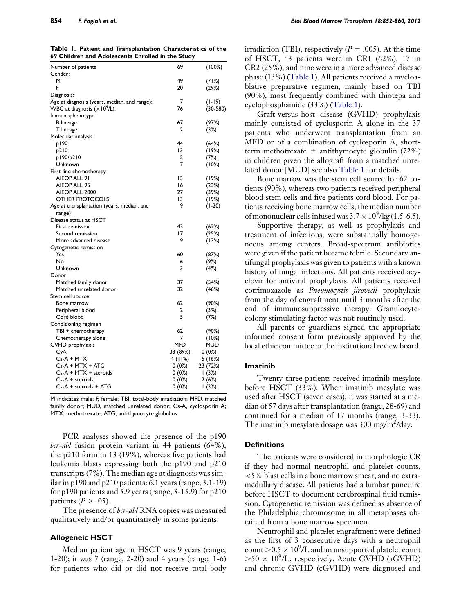<span id="page-2-0"></span>854 F. Fagioli et al. Biol Blood Marrow Transplant 18:852-860, 2012

Table 1. Patient and Transplantation Characteristics of the 69 Children and Adolescents Enrolled in the Study

| Number of patients                           | 69         | (100%)     |
|----------------------------------------------|------------|------------|
| Gender:                                      |            |            |
| м                                            | 49         | (71%)      |
| F                                            | 20         | (29%)      |
| Diagnosis:                                   |            |            |
| Age at diagnosis (years, median, and range): | 7          | (1-19)     |
| WBC at diagnosis $(\times 10^9$ /L):         | 76         | $(30-580)$ |
| Immunophenotype                              |            |            |
| <b>B</b> lineage                             | 67         | (97%)      |
| T lineage                                    | 2          | (3%)       |
| Molecular analysis                           |            |            |
| p190                                         | 44         | (64%)      |
| p210                                         | 13         | (19%)      |
| p190/p210                                    | 5          | (7%)       |
| Unknown                                      | 7          | (10%)      |
| First-line chemotherapy                      |            |            |
| AIEOP ALL 91                                 | 13         | (19%)      |
| AIEOP ALL 95                                 | 16         | (23%)      |
| AIEOP ALL 2000                               | 27         | (39%)      |
| <b>OTHER PROTOCOLS</b>                       | 13         | (19%)      |
| Age at transplantation (years, median, and   | 9          | $(1-20)$   |
| range)                                       |            |            |
| Disease status at HSCT                       |            |            |
| First remission                              | 43         | (62%)      |
| Second remission                             | 17         | (25%)      |
| More advanced disease                        | 9          | (13%)      |
| Cytogenetic remission                        |            |            |
| Yes                                          | 60         | (87%)      |
| No                                           | 6          | (9%)       |
| Unknown                                      | 3          | (4%)       |
| Donor                                        |            |            |
| Matched family donor                         | 37         | (54%)      |
| Matched unrelated donor                      | 32         | (46%)      |
| Stem cell source                             |            |            |
| Bone marrow                                  | 62         | (90%)      |
| Peripheral blood                             | 2          | (3%)       |
| Cord blood                                   | 5          | (7%)       |
| Conditioning regimen                         |            |            |
| TBI + chemotherapy                           | 62         | (90%)      |
| Chemotherapy alone                           | 7          | (10%)      |
| GVHD prophylaxis                             | <b>MFD</b> | MUD        |
| CyA                                          | 33 (89%)   | 0 (0%)     |
| $Cs-A + MTX$                                 |            | 5(16%)     |
|                                              | 4(11%)     |            |
| Cs-A + MTX + ATG                             | 0 (0%)     | 23 (72%)   |
| Cs-A + MTX + steroids                        | 0 (0%)     | (3%)       |
| $Cs-A + steroids$                            | 0 (0%)     | 2(6%)      |

M indicates male; F, female; TBI, total-body irradiation; MFD, matched family donor; MUD, matched unrelated donor; Cs-A, cyclosporin A; MTX, methotrexate; ATG, antithymocyte globulins.

PCR analyses showed the presence of the p190 bcr-abl fusion protein variant in 44 patients (64%), the p210 form in 13 (19%), whereas five patients had leukemia blasts expressing both the p190 and p210 transcripts (7%). The median age at diagnosis was similar in p190 and p210 patients: 6.1 years (range, 3.1-19) for p190 patients and 5.9 years (range, 3-15.9) for p210 patients  $(P > .05)$ .

The presence of *bcr-abl* RNA copies was measured qualitatively and/or quantitatively in some patients.

#### Allogeneic HSCT

Median patient age at HSCT was 9 years (range, 1-20); it was 7 (range, 2-20) and 4 years (range, 1-6) for patients who did or did not receive total-body

irradiation (TBI), respectively ( $P = .005$ ). At the time of HSCT, 43 patients were in CR1 (62%), 17 in CR2 (25%), and nine were in a more advanced disease phase (13%) (Table 1). All patients received a myeloablative preparative regimen, mainly based on TBI (90%), most frequently combined with thiotepa and cyclophosphamide (33%) (Table 1).

Graft-versus-host disease (GVHD) prophylaxis mainly consisted of cyclosporin A alone in the 37 patients who underwent transplantation from an MFD or of a combination of cyclosporin A, shortterm methotrexate  $\pm$  antithymocyte globulin (72%) in children given the allograft from a matched unrelated donor [MUD] see also Table 1 for details.

Bone marrow was the stem cell source for 62 patients (90%), whereas two patients received peripheral blood stem cells and five patients cord blood. For patients receiving bone marrow cells, the median number of mononuclear cells infused was  $3.7 \times 10^8$ /kg (1.5-6.5).

Supportive therapy, as well as prophylaxis and treatment of infections, were substantially homogeneous among centers. Broad-spectrum antibiotics were given if the patient became febrile. Secondary antifungal prophylaxis was given to patients with a known history of fungal infections. All patients received acyclovir for antiviral prophylaxis. All patients received cotrimoxazole as Pneumocystis jirovecii prophylaxis from the day of engraftment until 3 months after the end of immunosuppressive therapy. Granulocytecolony stimulating factor was not routinely used.

All parents or guardians signed the appropriate informed consent form previously approved by the local ethic committee or the institutional review board.

#### Imatinib

Twenty-three patients received imatinib mesylate before HSCT (33%). When imatinib mesylate was used after HSCT (seven cases), it was started at a median of 57 days after transplantation (range, 28-69) and continued for a median of 17 months (range, 3-33). The imatinib mesylate dosage was  $300 \text{ mg/m}^2/\text{day}$ .

#### **Definitions**

The patients were considered in morphologic CR if they had normal neutrophil and platelet counts, \5% blast cells in a bone marrow smear, and no extramedullary disease. All patients had a lumbar puncture before HSCT to document cerebrospinal fluid remission. Cytogenetic remission was defined as absence of the Philadelphia chromosome in all metaphases obtained from a bone marrow specimen.

Neutrophil and platelet engraftment were defined as the first of 3 consecutive days with a neutrophil count  $> 0.5 \times 10^9$ /L and an unsupported platelet count  $>50 \times 10^{9}$ /L, respectively. Acute GVHD (aGVHD) and chronic GVHD (cGVHD) were diagnosed and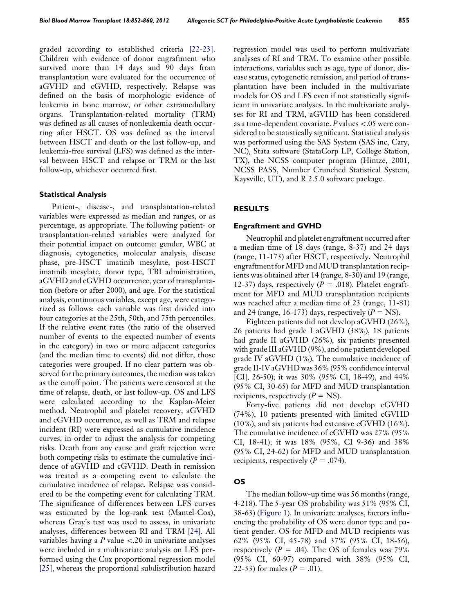graded according to established criteria [\[22-23\]](#page-8-0). Children with evidence of donor engraftment who survived more than 14 days and 90 days from transplantation were evaluated for the occurrence of aGVHD and cGVHD, respectively. Relapse was defined on the basis of morphologic evidence of leukemia in bone marrow, or other extramedullary organs. Transplantation-related mortality (TRM) was defined as all causes of nonleukemia death occurring after HSCT. OS was defined as the interval between HSCT and death or the last follow-up, and leukemia-free survival (LFS) was defined as the interval between HSCT and relapse or TRM or the last follow-up, whichever occurred first.

#### Statistical Analysis

Patient-, disease-, and transplantation-related variables were expressed as median and ranges, or as percentage, as appropriate. The following patient- or transplantation-related variables were analyzed for their potential impact on outcome: gender, WBC at diagnosis, cytogenetics, molecular analysis, disease phase, pre-HSCT imatinib mesylate, post-HSCT imatinib mesylate, donor type, TBI administration, aGVHD and cGVHD occurrence, year of transplantation (before or after 2000), and age. For the statistical analysis, continuous variables, except age, were categorized as follows: each variable was first divided into four categories at the 25th, 50th, and 75th percentiles. If the relative event rates (the ratio of the observed number of events to the expected number of events in the category) in two or more adjacent categories (and the median time to events) did not differ, those categories were grouped. If no clear pattern was observed for the primary outcomes, the median was taken as the cutoff point. The patients were censored at the time of relapse, death, or last follow-up. OS and LFS were calculated according to the Kaplan-Meier method. Neutrophil and platelet recovery, aGVHD and cGVHD occurrence, as well as TRM and relapse incident (RI) were expressed as cumulative incidence curves, in order to adjust the analysis for competing risks. Death from any cause and graft rejection were both competing risks to estimate the cumulative incidence of aGVHD and cGVHD. Death in remission was treated as a competing event to calculate the cumulative incidence of relapse. Relapse was considered to be the competing event for calculating TRM. The significance of differences between LFS curves was estimated by the log-rank test (Mantel-Cox), whereas Gray's test was used to assess, in univariate analyses, differences between RI and TRM [\[24\]](#page-8-0). All variables having a  $P$  value  $\lt$ .20 in univariate analyses were included in a multivariate analysis on LFS performed using the Cox proportional regression model [\[25\]](#page-8-0), whereas the proportional subdistribution hazard

regression model was used to perform multivariate analyses of RI and TRM. To examine other possible interactions, variables such as age, type of donor, disease status, cytogenetic remission, and period of transplantation have been included in the multivariate models for OS and LFS even if not statistically significant in univariate analyses. In the multivariate analyses for RI and TRM, aGVHD has been considered as a time-dependent covariate.  $P$  values  $\lt .05$  were considered to be statistically significant. Statistical analysis was performed using the SAS System (SAS inc, Cary, NC), Stata software (StataCorp LP, College Station, TX), the NCSS computer program (Hintze, 2001, NCSS PASS, Number Crunched Statistical System, Kaysville, UT), and R 2.5.0 software package.

## RESULTS

#### Engraftment and GVHD

Neutrophil and platelet engraftment occurred after a median time of 18 days (range, 8-37) and 24 days (range, 11-173) after HSCT, respectively. Neutrophil engraftment forMFD and MUD transplantation recipients was obtained after 14 (range, 8-30) and 19 (range, 12-37) days, respectively ( $P = .018$ ). Platelet engraftment for MFD and MUD transplantation recipients was reached after a median time of 23 (range, 11-81) and 24 (range, 16-173) days, respectively  $(P = NS)$ .

Eighteen patients did not develop aGVHD (26%), 26 patients had grade I aGVHD (38%), 18 patients had grade II aGVHD (26%), six patients presented with grade III aGVHD (9%), and one patient developed grade IV aGVHD (1%). The cumulative incidence of grade II-IV aGVHD was 36% (95% confidence interval [CI], 26-50); it was 30% (95% CI, 18-49), and 44% (95% CI, 30-65) for MFD and MUD transplantation recipients, respectively  $(P = NS)$ .

Forty-five patients did not develop cGVHD (74%), 10 patients presented with limited cGVHD (10%), and six patients had extensive cGVHD (16%). The cumulative incidence of cGVHD was 27% (95% CI, 18-41); it was 18% (95%, CI 9-36) and 38% (95% CI, 24-62) for MFD and MUD transplantation recipients, respectively ( $P = .074$ ).

## OS

The median follow-up time was 56 months (range, 4-218). The 5-year OS probability was 51% (95% CI, 38-63) [\(Figure 1](#page-4-0)). In univariate analyses, factors influencing the probability of OS were donor type and patient gender. OS for MFD and MUD recipients was 62% (95% CI, 45-78) and 37% (95% CI, 18-56), respectively ( $P = .04$ ). The OS of females was 79% (95% CI, 60-97) compared with 38% (95% CI, 22-53) for males ( $P = .01$ ).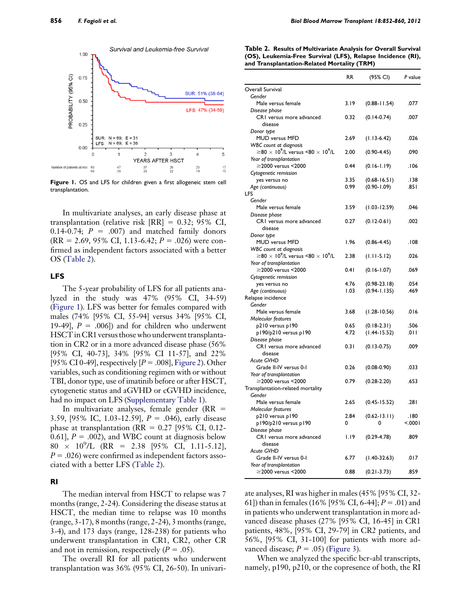<span id="page-4-0"></span>

Figure 1. OS and LFS for children given a first allogeneic stem cell transplantation.

In multivariate analyses, an early disease phase at transplantation (relative risk  $[RR] = 0.32; 95\% \text{ CI},$ 0.14-0.74;  $P = .007$  and matched family donors  $(RR = 2.69, 95\% \text{ CI}, 1.13-6.42; P = .026)$  were confirmed as independent factors associated with a better OS (Table 2).

#### LFS

The 5-year probability of LFS for all patients analyzed in the study was 47% (95% CI, 34-59) (Figure 1). LFS was better for females compared with males (74% [95% CI, 55-94] versus 34% [95% CI, 19-49],  $P = .006$ ]) and for children who underwent HSCT in CR1 versus those who underwent transplantation in CR2 or in a more advanced disease phase (56% [95% CI, 40-73], 34% [95% CI 11-57], and 22% [95% CI 0-49], respectively  $[P=.008]$ , [Figure 2\)](#page-5-0). Other variables, such as conditioning regimen with or without TBI, donor type, use of imatinib before or after HSCT, cytogenetic status and aGVHD or cGVHD incidence, had no impact on LFS (Supplementary Table 1).

In multivariate analyses, female gender ( $RR =$ 3.59, [95% IC, 1.03-12.59],  $P = .046$ ), early disease phase at transplantation ( $RR = 0.27$  [95% CI, 0.12-0.61],  $P = .002$ ), and WBC count at diagnosis below  $80 \times 10^9$ /L (RR = 2.38 [95% CI, 1.11-5.12],  $P = .026$ ) were confirmed as independent factors associated with a better LFS (Table 2).

## RI

The median interval from HSCT to relapse was 7 months (range, 2-24). Considering the disease status at HSCT, the median time to relapse was 10 months (range, 3-17), 8 months (range, 2-24), 3 months (range, 3-4), and 173 days (range, 128-238) for patients who underwent transplantation in CR1, CR2, other CR and not in remission, respectively  $(P = .05)$ .

The overall RI for all patients who underwent transplantation was 36% (95% CI, 26-50). In univari-

| Table 2. Results of Multivariate Analysis for Overall Survival |
|----------------------------------------------------------------|
| (OS), Leukemia-Free Survival (LFS), Relapse Incidence (RI),    |
| and Transplantation-Related Mortality (TRM)                    |

|                                                                              | RR   | (95% CI)         | P value |
|------------------------------------------------------------------------------|------|------------------|---------|
| Overall Survival                                                             |      |                  |         |
| Gender                                                                       |      |                  |         |
| Male versus female                                                           | 3.19 | $(0.88 - 11.54)$ | .077    |
| Disease phase                                                                |      |                  |         |
| CRI versus more advanced                                                     | 0.32 | $(0.14-0.74)$    | .007    |
| disease                                                                      |      |                  |         |
| Donor type                                                                   |      |                  |         |
| MUD versus MFD                                                               | 2.69 | $(1.13 - 6.42)$  | .026    |
| <b>WBC</b> count at diagnosis                                                |      |                  |         |
| $\geq$ 80 $\times$ 10 <sup>9</sup> /L versus <80 $\times$ 10 <sup>9</sup> /L | 2.00 | $(0.90 - 4.45)$  | .090    |
| Year of transplantation                                                      |      |                  |         |
| ≥2000 versus <2000                                                           | 0.44 | $(0.16 - 1.19)$  | 106.    |
| Cytogenetic remission                                                        |      |                  |         |
| yes versus no                                                                | 3.35 | $(0.68 - 16.51)$ | .138    |
| Age (continuous)                                                             | 0.99 | $(0.90 - 1.09)$  | .85 ا   |
| LFS                                                                          |      |                  |         |
| Gender                                                                       |      |                  |         |
| Male versus female                                                           | 3.59 | $(1.03 - 12.59)$ | .046    |
| Disease phase                                                                |      |                  |         |
| CRI versus more advanced                                                     | 0.27 | $(0.12 - 0.61)$  | .002    |
| disease                                                                      |      |                  |         |
| Donor type                                                                   |      |                  |         |
| <b>MUD versus MFD</b>                                                        | 1.96 | $(0.86 - 4.45)$  | .108    |
| <b>WBC</b> count at diagnosis                                                |      |                  |         |
| $\geq$ 80 $\times$ 10 <sup>9</sup> /L versus <80 $\times$ 10 <sup>9</sup> /L | 2.38 | $(1.11 - 5.12)$  | .026    |
| Year of transplantation                                                      |      |                  |         |
| ≥2000 versus <2000                                                           | 0.41 | $(0.16 - 1.07)$  | .069    |
| Cytogenetic remission                                                        |      |                  |         |
| yes versus no                                                                | 4.76 | $(0.98-23.18)$   | .054    |
| Age (continuous)                                                             | 1.03 | $(0.94 - 1.135)$ | .469    |
| Relapse incidence                                                            |      |                  |         |
| Gender                                                                       |      |                  |         |
| Male versus female                                                           | 3.68 | $(1.28 - 10.56)$ | .016    |
| Molecular features                                                           |      |                  |         |
| p210 versus p190                                                             | 0.65 | $(0.18-2.31)$    | .506    |
| p190/p210 versus p190                                                        | 4.72 | $(1.44 - 15.52)$ | ا ٥١١.  |
| Disease phase                                                                |      |                  |         |
| CRI versus more advanced                                                     | 0.31 | $(0.13 - 0.75)$  | .009    |
| disease                                                                      |      |                  |         |
| <b>Acute GVHD</b>                                                            |      |                  |         |
| Grade II-IV versus 0-I                                                       | 0.26 | $(0.08 - 0.90)$  | .033    |
| Year of transplantation                                                      |      |                  |         |
| $\geq$ 2000 versus <2000                                                     | 0.79 | $(0.28 - 2.20)$  | .653    |
| Transplantation-related mortality                                            |      |                  |         |
| Gender                                                                       |      |                  |         |
| Male versus female                                                           | 2.65 | $(0.45 - 15.52)$ | ا 28.   |
| Molecular features                                                           |      |                  |         |
| p210 versus p190                                                             | 2.84 | $(0.62 - 13.11)$ | .180    |
| p190/p210 versus p190                                                        | 0    | 0                | < 0001  |
| Disease phase                                                                |      |                  |         |
| CRI versus more advanced                                                     | 1.19 | $(0.29 - 4.78)$  | .809    |
| disease                                                                      |      |                  |         |
| <b>Acute GVHD</b>                                                            |      |                  |         |
| Grade II-IV versus 0-I                                                       | 6.77 | $(1.40-32.63)$   | .017    |
| Year of transplantation                                                      |      |                  |         |
| ≥2000 versus <2000                                                           | 0.88 | $(0.21 - 3.73)$  | .859    |
|                                                                              |      |                  |         |

ate analyses, RI was higher in males (45% [95% CI, 32- 61]) than in females (16% [95% CI, 6-44];  $P = .01$ ) and in patients who underwent transplantation in more advanced disease phases (27% [95% CI, 16-45] in CR1 patients, 48%, [95% CI, 29-79] in CR2 patients, and 56%, [95% CI, 31-100] for patients with more advanced disease;  $P = .05$ ) [\(Figure 3](#page-5-0)).

When we analyzed the specific bcr-abl transcripts, namely, p190, p210, or the copresence of both, the RI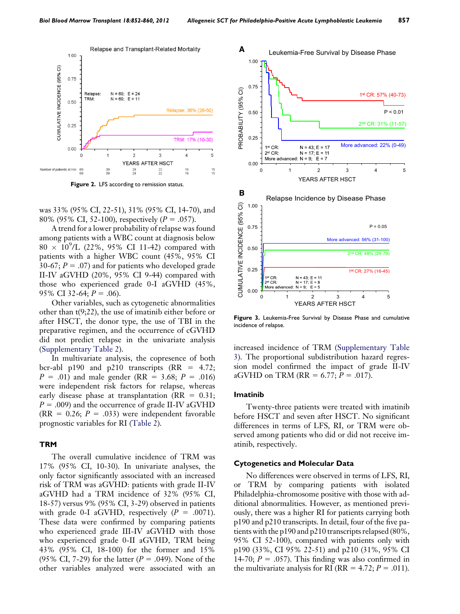<span id="page-5-0"></span>

Figure 2. LFS according to remission status.

was 33% (95% CI, 22-51), 31% (95% CI, 14-70), and 80% (95% CI, 52-100), respectively ( $P = .057$ ).

A trend for a lower probability of relapse was found among patients with a WBC count at diagnosis below  $80 \times 10^{9}$ /L (22%, 95% CI 11-42) compared with patients with a higher WBC count (45%, 95% CI 30-67;  $P = .07$ ) and for patients who developed grade II-IV aGVHD (20%, 95% CI 9-44) compared with those who experienced grade 0-I aGVHD (45%, 95% CI 32-64;  $P = .06$ ).

Other variables, such as cytogenetic abnormalities other than t(9;22), the use of imatinib either before or after HSCT, the donor type, the use of TBI in the preparative regimen, and the occurrence of cGVHD did not predict relapse in the univariate analysis (Supplementary Table 2).

In multivariate analysis, the copresence of both bcr-abl p190 and p210 transcripts  $(RR = 4.72;$  $P = .01$ ) and male gender (RR = 3.68;  $P = .016$ ) were independent risk factors for relapse, whereas early disease phase at transplantation ( $RR = 0.31$ ;  $P = .009$ ) and the occurrence of grade II-IV aGVHD  $(RR = 0.26; P = .033)$  were independent favorable prognostic variables for RI [\(Table 2](#page-4-0)).

#### **TRM**

The overall cumulative incidence of TRM was 17% (95% CI, 10-30). In univariate analyses, the only factor significantly associated with an increased risk of TRM was aGVHD: patients with grade II-IV aGVHD had a TRM incidence of 32% (95% CI, 18-57) versus 9% (95% CI, 3-29) observed in patients with grade 0-I aGVHD, respectively  $(P = .0071)$ . These data were confirmed by comparing patients who experienced grade III-IV aGVHD with those who experienced grade 0-II aGVHD, TRM being 43% (95% CI, 18-100) for the former and 15% (95% CI, 7-29) for the latter ( $P = .049$ ). None of the other variables analyzed were associated with an



Figure 3. Leukemia-Free Survival by Disease Phase and cumulative incidence of relapse.

increased incidence of TRM (Supplementary Table 3). The proportional subdistribution hazard regression model confirmed the impact of grade II-IV aGVHD on TRM (RR = 6.77;  $P = .017$ ).

#### Imatinib

Twenty-three patients were treated with imatinib before HSCT and seven after HSCT. No significant differences in terms of LFS, RI, or TRM were observed among patients who did or did not receive imatinib, respectively.

#### Cytogenetics and Molecular Data

No differences were observed in terms of LFS, RI, or TRM by comparing patients with isolated Philadelphia-chromosome positive with those with additional abnormalities. However, as mentioned previously, there was a higher RI for patients carrying both p190 and p210 transcripts. In detail, four of the five patients with the p190 and p210 transcripts relapsed (80%, 95% CI 52-100), compared with patients only with p190 (33%, CI 95% 22-51) and p210 (31%, 95% CI 14-70;  $P = .057$ ). This finding was also confirmed in the multivariate analysis for RI (RR =  $4.72; P = .011$ ).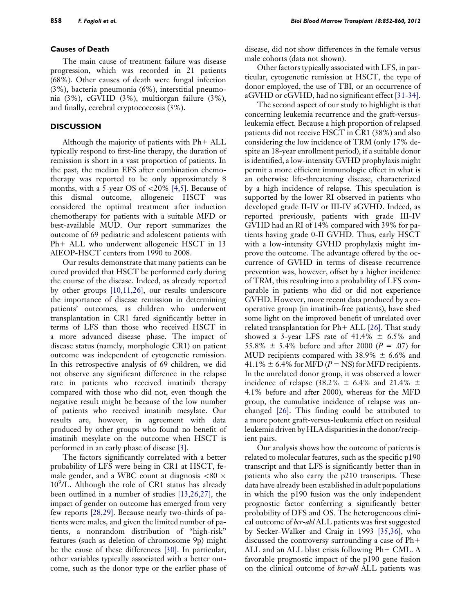# Causes of Death

The main cause of treatment failure was disease progression, which was recorded in 21 patients (68%). Other causes of death were fungal infection (3%), bacteria pneumonia (6%), interstitial pneumonia (3%), cGVHD (3%), multiorgan failure (3%), and finally, cerebral cryptococcosis (3%).

# **DISCUSSION**

Although the majority of patients with  $Ph+ALL$ typically respond to first-line therapy, the duration of remission is short in a vast proportion of patients. In the past, the median EFS after combination chemotherapy was reported to be only approximately 8 months, with a 5-year OS of  $\langle 20\% \, [4,5]$ . Because of this dismal outcome, allogeneic HSCT was considered the optimal treatment after induction chemotherapy for patients with a suitable MFD or best-available MUD. Our report summarizes the outcome of 69 pediatric and adolescent patients with  $Ph+ALL$  who underwent allogeneic HSCT in 13 AIEOP-HSCT centers from 1990 to 2008.

Our results demonstrate that many patients can be cured provided that HSCT be performed early during the course of the disease. Indeed, as already reported by other groups [\[10,11,26\]](#page-7-0), our results underscore the importance of disease remission in determining patients' outcomes, as children who underwent transplantation in CR1 fared significantly better in terms of LFS than those who received HSCT in a more advanced disease phase. The impact of disease status (namely, morphologic CR1) on patient outcome was independent of cytogenetic remission. In this retrospective analysis of 69 children, we did not observe any significant difference in the relapse rate in patients who received imatinib therapy compared with those who did not, even though the negative result might be because of the low number of patients who received imatinib mesylate. Our results are, however, in agreement with data produced by other groups who found no benefit of imatinib mesylate on the outcome when HSCT is performed in an early phase of disease [\[3\].](#page-7-0)

The factors significantly correlated with a better probability of LFS were being in CR1 at HSCT, female gender, and a WBC count at diagnosis  $\langle 80 \times 10 \rangle$ 10<sup>9</sup>/L. Although the role of CR1 status has already been outlined in a number of studies [\[13,26,27\]](#page-7-0), the impact of gender on outcome has emerged from very few reports [\[28,29\]](#page-8-0). Because nearly two-thirds of patients were males, and given the limited number of patients, a nonrandom distribution of ''high-risk'' features (such as deletion of chromosome 9p) might be the cause of these differences [\[30\].](#page-8-0) In particular, other variables typically associated with a better outcome, such as the donor type or the earlier phase of

disease, did not show differences in the female versus male cohorts (data not shown).

Other factors typically associated with LFS, in particular, cytogenetic remission at HSCT, the type of donor employed, the use of TBI, or an occurrence of aGVHD or cGVHD, had no significant effect [\[31-34\].](#page-8-0)

The second aspect of our study to highlight is that concerning leukemia recurrence and the graft-versusleukemia effect. Because a high proportion of relapsed patients did not receive HSCT in CR1 (38%) and also considering the low incidence of TRM (only 17% despite an 18-year enrollment period), if a suitable donor is identified, a low-intensity GVHD prophylaxis might permit a more efficient immunologic effect in what is an otherwise life-threatening disease, characterized by a high incidence of relapse. This speculation is supported by the lower RI observed in patients who developed grade II-IV or III-IV aGVHD. Indeed, as reported previously, patients with grade III-IV GVHD had an RI of 14% compared with 39% for patients having grade 0-II GVHD. Thus, early HSCT with a low-intensity GVHD prophylaxis might improve the outcome. The advantage offered by the occurrence of GVHD in terms of disease recurrence prevention was, however, offset by a higher incidence of TRM, this resulting into a probability of LFS comparable in patients who did or did not experience GVHD. However, more recent data produced by a cooperative group (in imatinib-free patients), have shed some light on the improved benefit of unrelated over related transplantation for  $Ph+ALL$  [\[26\].](#page-8-0) That study showed a 5-year LFS rate of  $41.4\% \pm 6.5\%$  and 55.8%  $\pm$  5.4% before and after 2000 (P = .07) for MUD recipients compared with  $38.9\% \pm 6.6\%$  and 41.1%  $\pm$  6.4% for MFD (P = NS) for MFD recipients. In the unrelated donor group, it was observed a lower incidence of relapse (38.2%  $\pm$  6.4% and 21.4%  $\pm$ 4.1% before and after 2000), whereas for the MFD group, the cumulative incidence of relapse was unchanged [\[26\]](#page-8-0). This finding could be attributed to a more potent graft-versus-leukemia effect on residual leukemia driven by HLA disparities in the donor/recipient pairs.

Our analysis shows how the outcome of patients is related to molecular features, such as the specific p190 transcript and that LFS is significantly better than in patients who also carry the p210 transcripts. These data have already been established in adult populations in which the p190 fusion was the only independent prognostic factor conferring a significantly better probability of DFS and OS. The heterogeneous clinical outcome of *bcr-abl* ALL patients was first suggested by Secker-Walker and Craig in 1993 [\[35,36\],](#page-8-0) who discussed the controversy surrounding a case of  $Ph+$ ALL and an ALL blast crisis following  $Ph + CML$ . A favorable prognostic impact of the p190 gene fusion on the clinical outcome of *bcr-abl* ALL patients was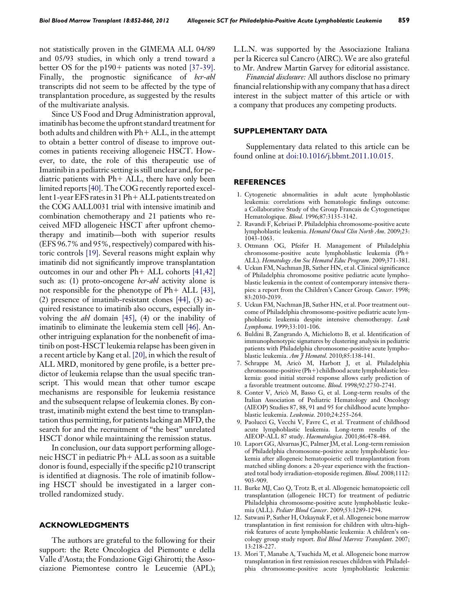<span id="page-7-0"></span>not statistically proven in the GIMEMA ALL 04/89 and 05/93 studies, in which only a trend toward a better OS for the  $p190+$  patients was noted [\[37-39\]](#page-8-0). Finally, the prognostic significance of *bcr-abl* transcripts did not seem to be affected by the type of transplantation procedure, as suggested by the results of the multivariate analysis.

Since US Food and Drug Administration approval, imatinib has become the upfront standard treatment for both adults and children with  $Ph+ALL$ , in the attempt to obtain a better control of disease to improve outcomes in patients receiving allogeneic HSCT. However, to date, the role of this therapeutic use of Imatinib in a pediatric setting is still unclear and, for pediatric patients with  $Ph+ALL$ , there have only been limited reports[\[40\]](#page-8-0). The COG recently reported excellent 1-year EFS rates in 31 Ph $+$  ALL patients treated on the COG AALL0031 trial with intensive imatinib and combination chemotherapy and 21 patients who received MFD allogeneic HSCT after upfront chemotherapy and imatinib—both with superior results (EFS 96.7% and 95%, respectively) compared with historic controls [\[19\]](#page-8-0). Several reasons might explain why imatinib did not significantly improve transplantation outcomes in our and other  $Ph+ALL$  cohorts  $[41,42]$ such as: (1) proto-oncogene *ber-abl* activity alone is not responsible for the phenotype of  $Ph+ALL$  [\[43\]](#page-8-0), (2) presence of imatinib-resistant clones [\[44\]](#page-8-0), (3) acquired resistance to imatinib also occurs, especially involving the abl domain [\[45\],](#page-8-0) (4) or the inability of imatinib to eliminate the leukemia stem cell [\[46\]](#page-8-0). Another intriguing explanation for the nonbenefit of imatinib on post-HSCT leukemia relapse has been given in a recent article by Kang et al. [\[20\]](#page-8-0), in which the result of ALL MRD, monitored by gene profile, is a better predictor of leukemia relapse than the usual specific transcript. This would mean that other tumor escape mechanisms are responsible for leukemia resistance and the subsequent relapse of leukemia clones. By contrast, imatinib might extend the best time to transplantation thus permitting, for patients lacking anMFD, the search for and the recruitment of ''the best'' unrelated HSCT donor while maintaining the remission status.

In conclusion, our data support performing allogeneic HSCT in pediatric  $Ph+ALL$  as soon as a suitable donor is found, especially if the specific p210 transcript is identified at diagnosis. The role of imatinib following HSCT should be investigated in a larger controlled randomized study.

## ACKNOWLEDGMENTS

The authors are grateful to the following for their support: the Rete Oncologica del Piemonte e della Valle d'Aosta; the Fondazione Gigi Ghirotti; the Associazione Piemontese contro le Leucemie (APL); L.L.N. was supported by the Associazione Italiana per la Ricerca sul Cancro (AIRC). We are also grateful to Mr. Andrew Martin Garvey for editorial assistance.

Financial disclosure: All authors disclose no primary financial relationship with any company that has a direct interest in the subject matter of this article or with a company that produces any competing products.

## SUPPLEMENTARY DATA

Supplementary data related to this article can be found online at [doi:10.1016/j.bbmt.2011.10.015.](http://dx.doi.org/doi:10.1016/j.bbmt.2011.10.015)

### REFERENCES

- 1. Cytogenetic abnormalities in adult acute lymphoblastic leukemia: correlations with hematologic findings outcome: a Collaborative Study of the Group Francais de Cytogenetique Hematologique. Blood. 1996;87:3135-3142.
- 2. Ravandi F, Kebriaei P. Philadelphia chromosome-positive acute lymphoblastic leukemia. Hematol Oncol Clin North Am. 2009;23: 1043-1063.
- 3. Ottmann OG, Pfeifer H. Management of Philadelphia chromosome-positive acute lymphoblastic leukemia (Ph+ ALL). Hematology Am Soc Hematol Educ Program. 2009;371-381.
- 4. Uckun FM, Nachman JB, Sather HN, et al. Clinical significance of Philadelphia chromosome positive pediatric acute lymphoblastic leukemia in the context of contemporary intensive therapies: a report from the Children's Cancer Group. Cancer. 1998; 83:2030-2039.
- 5. Uckun FM, Nachman JB, Sather HN, et al. Poor treatment outcome of Philadelphia chromosome-positive pediatric acute lymphoblastic leukemia despite intensive chemotherapy. Leuk Lymphoma. 1999;33:101-106.
- 6. Buldini B, Zangrando A, Michielotto B, et al. Identification of immunophenotypic signatures by clustering analysis in pediatric patients with Philadelphia chromosome-positive acute lymphoblastic leukemia. Am J Hematol. 2010;85:138-141.
- 7. Schrappe M, Arico M, Harbott J, et al. Philadelphia chromosome-positive (Ph+) childhood acute lymphoblastic leukemia: good initial steroid response allows early prediction of a favorable treatment outcome. Blood. 1998;92:2730-2741.
- 8. Conter V, Arico M, Basso G, et al. Long-term results of the Italian Association of Pediatric Hematology and Oncology (AIEOP) Studies 87, 88, 91 and 95 for childhood acute lymphoblastic leukemia. Leukemia. 2010;24:255-264.
- 9. Paolucci G, Vecchi V, Favre C, et al. Treatment of childhood acute lymphoblastic leukemia. Long-term results of the AIEOP-ALL 87 study. Haematologica. 2001;86:478-484.
- 10. Laport GG, Alvarnas JC, Palmer JM, et al. Long-term remission of Philadelphia chromosome-positive acute lymphoblastic leukemia after allogeneic hematopoietic cell transplantation from matched sibling donors: a 20-year experience with the fractionated total body irradiation-etoposide regimen. Blood. 2008;1112: 903-909.
- 11. Burke MJ, Cao Q, Trotz B, et al. Allogeneic hematopoietic cell transplantation (allogeneic HCT) for treatment of pediatric Philadelphia chromosome-positive acute lymphoblastic leukemia (ALL). Pediatr Blood Cancer. 2009;53:1289-1294.
- 12. Satwani P, Sather H, Ozkaynak F, et al. Allogeneic bone marrow transplantation in first remission for children with ultra-highrisk features of acute lymphoblastic leukemia: A children's oncology group study report. Biol Blood Marrow Transplant. 2007; 13:218-227.
- 13. Mori T, Manabe A, Tsuchida M, et al. Allogeneic bone marrow transplantation in first remission rescues children with Philadelphia chromosome-positive acute lymphoblastic leukemia: